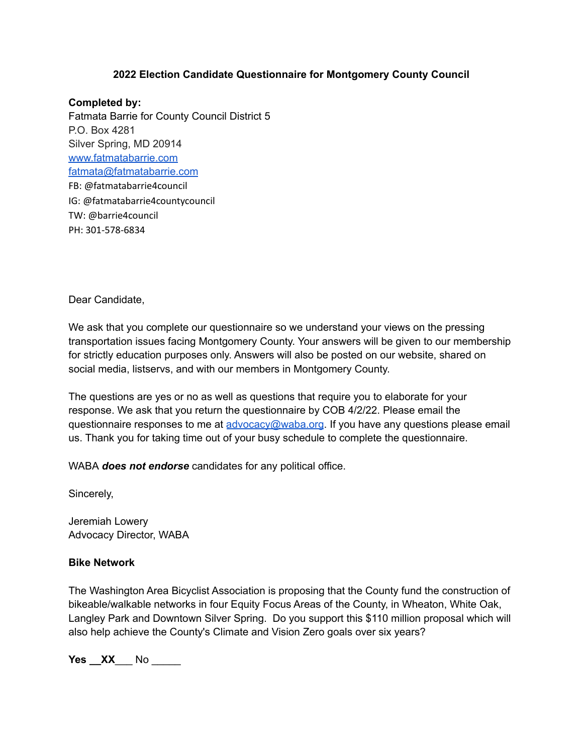#### **2022 Election Candidate Questionnaire for Montgomery County Council**

**Completed by:** Fatmata Barrie for County Council District 5 P.O. Box 4281 Silver Spring, MD 20914 [www.fatmatabarrie.com](http://www.fatmatabarrie.com/) [fatmata@fatmatabarrie.com](mailto:fatmata@fatmatabarrie.com) FB: @fatmatabarrie4council IG: @fatmatabarrie4countycouncil TW: @barrie4council PH: 301-578-6834

Dear Candidate,

We ask that you complete our questionnaire so we understand your views on the pressing transportation issues facing Montgomery County. Your answers will be given to our membership for strictly education purposes only. Answers will also be posted on our website, shared on social media, listservs, and with our members in Montgomery County.

The questions are yes or no as well as questions that require you to elaborate for your response. We ask that you return the questionnaire by COB 4/2/22. Please email the questionnaire responses to me at [advocacy@waba.org](mailto:advocacy@waba.org). If you have any questions please email us. Thank you for taking time out of your busy schedule to complete the questionnaire.

WABA *does not endorse* candidates for any political office.

Sincerely,

Jeremiah Lowery Advocacy Director, WABA

#### **Bike Network**

The Washington Area Bicyclist Association is proposing that the County fund the construction of bikeable/walkable networks in four Equity Focus Areas of the County, in Wheaton, White Oak, Langley Park and Downtown Silver Spring. Do you support this \$110 million proposal which will also help achieve the County's Climate and Vision Zero goals over six years?

**Yes \_\_ XX** No \_\_\_\_\_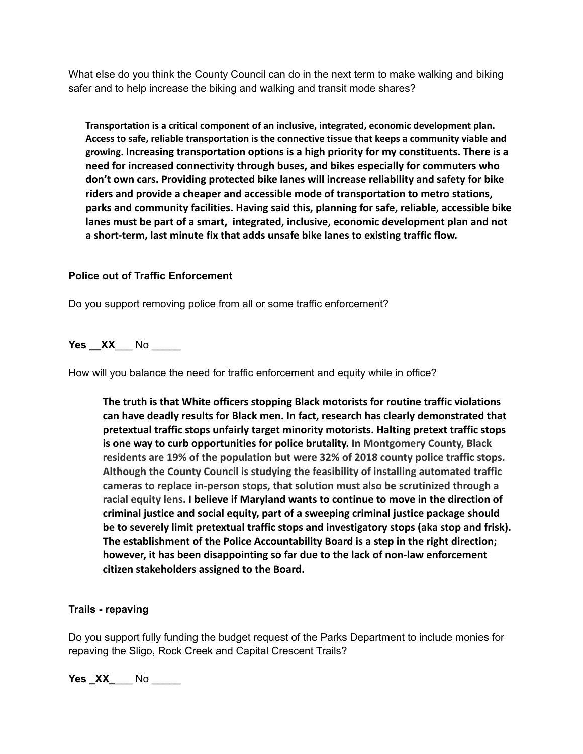What else do you think the County Council can do in the next term to make walking and biking safer and to help increase the biking and walking and transit mode shares?

**Transportation is a critical component of an inclusive, integrated, economic development plan. Access to safe, reliable transportation is the connective tissue that keeps a community viable and growing. Increasing transportation options is a high priority for my constituents. There is a need for increased connectivity through buses, and bikes especially for commuters who don't own cars. Providing protected bike lanes will increase reliability and safety for bike riders and provide a cheaper and accessible mode of transportation to metro stations, parks and community facilities. Having said this, planning for safe, reliable, accessible bike lanes must be part of a smart, integrated, inclusive, economic development plan and not a short-term, last minute fix that adds unsafe bike lanes to existing traffic flow.**

### **Police out of Traffic Enforcement**

Do you support removing police from all or some traffic enforcement?

**Yes \_\_XX**\_\_\_ No \_\_\_\_\_

How will you balance the need for traffic enforcement and equity while in office?

**The truth is that White officers stopping Black motorists for routine traffic violations can have deadly results for Black men. In fact, research has clearly demonstrated that pretextual traffic stops unfairly target minority motorists. Halting pretext traffic stops is one way to curb opportunities for police brutality. In Montgomery County, Black residents are 19% of the population but were 32% of 2018 county police traffic stops. Although the County Council is studying the feasibility of installing automated traffic cameras to replace in-person stops, that solution must also be scrutinized through a racial equity lens. I believe if Maryland wants to continue to move in the direction of criminal justice and social equity, part of a sweeping criminal justice package should be to severely limit pretextual traffic stops and investigatory stops (aka stop and frisk). The establishment of the Police Accountability Board is a step in the right direction; however, it has been disappointing so far due to the lack of non-law enforcement citizen stakeholders assigned to the Board.**

### **Trails - repaving**

Do you support fully funding the budget request of the Parks Department to include monies for repaving the Sligo, Rock Creek and Capital Crescent Trails?

**Yes \_XX\_\_\_\_\_ No \_\_\_\_\_\_**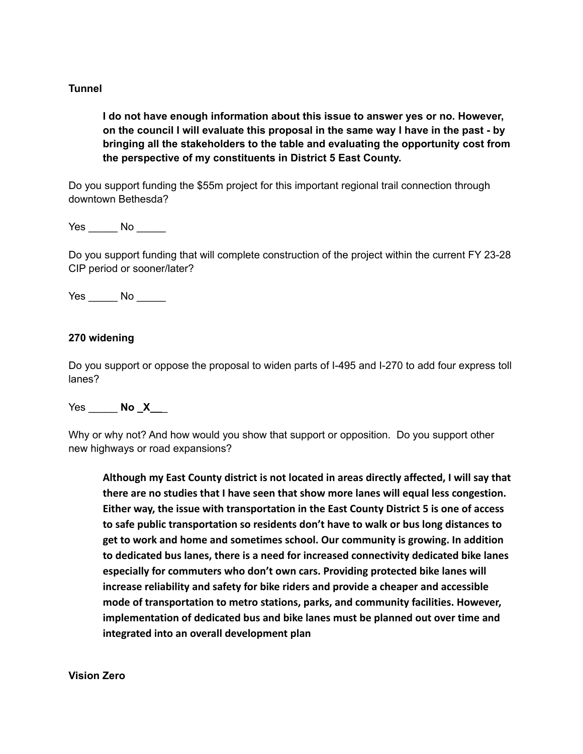## **Tunnel**

**I do not have enough information about this issue to answer yes or no. However, on the council I will evaluate this proposal in the same way I have in the past - by bringing all the stakeholders to the table and evaluating the opportunity cost from the perspective of my constituents in District 5 East County.**

Do you support funding the \$55m project for this important regional trail connection through downtown Bethesda?

Yes No No

Do you support funding that will complete construction of the project within the current FY 23-28 CIP period or sooner/later?

Yes \_\_\_\_\_\_ No \_\_\_\_\_

### **270 widening**

Do you support or oppose the proposal to widen parts of I-495 and I-270 to add four express toll lanes?

Yes \_\_\_\_\_ **No \_X\_\_**\_

Why or why not? And how would you show that support or opposition. Do you support other new highways or road expansions?

**Although my East County district is not located in areas directly affected, I will say that there are no studies that I have seen that show more lanes will equal less congestion. Either way, the issue with transportation in the East County District 5 is one of access to safe public transportation so residents don't have to walk or bus long distances to get to work and home and sometimes school. Our community is growing. In addition to dedicated bus lanes, there is a need for increased connectivity dedicated bike lanes especially for commuters who don't own cars. Providing protected bike lanes will increase reliability and safety for bike riders and provide a cheaper and accessible mode of transportation to metro stations, parks, and community facilities. However, implementation of dedicated bus and bike lanes must be planned out over time and integrated into an overall development plan**